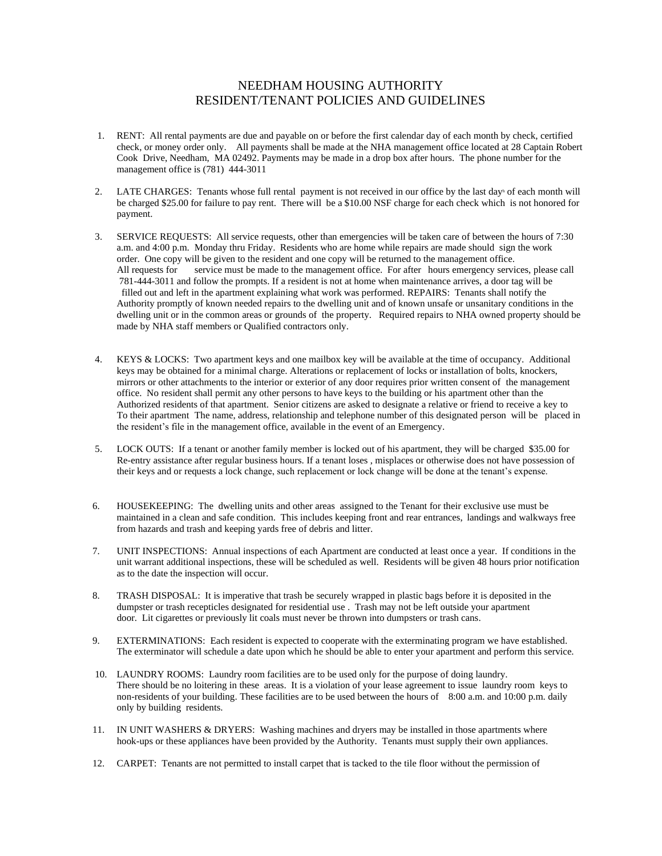## NEEDHAM HOUSING AUTHORITY RESIDENT/TENANT POLICIES AND GUIDELINES

- 1. RENT: All rental payments are due and payable on or before the first calendar day of each month by check, certified check, or money order only. All payments shall be made at the NHA management office located at 28 Captain Robert Cook Drive, Needham, MA 02492. Payments may be made in a drop box after hours. The phone number for the management office is (781) 444-3011
- 2. LATE CHARGES: Tenants whose full rental payment is not received in our office by the last day<sup>h</sup> of each month will be charged \$25.00 for failure to pay rent. There will be a \$10.00 NSF charge for each check which is not honored for payment.
- 3. SERVICE REQUESTS: All service requests, other than emergencies will be taken care of between the hours of 7:30 a.m. and 4:00 p.m. Monday thru Friday. Residents who are home while repairs are made should sign the work order. One copy will be given to the resident and one copy will be returned to the management office. All requests for service must be made to the management office. For after hours emergency services, please call 781-444-3011 and follow the prompts. If a resident is not at home when maintenance arrives, a door tag will be filled out and left in the apartment explaining what work was performed. REPAIRS: Tenants shall notify the Authority promptly of known needed repairs to the dwelling unit and of known unsafe or unsanitary conditions in the dwelling unit or in the common areas or grounds of the property. Required repairs to NHA owned property should be made by NHA staff members or Qualified contractors only.
- 4. KEYS & LOCKS: Two apartment keys and one mailbox key will be available at the time of occupancy. Additional keys may be obtained for a minimal charge. Alterations or replacement of locks or installation of bolts, knockers, mirrors or other attachments to the interior or exterior of any door requires prior written consent of the management office. No resident shall permit any other persons to have keys to the building or his apartment other than the Authorized residents of that apartment. Senior citizens are asked to designate a relative or friend to receive a key to To their apartment The name, address, relationship and telephone number of this designated person will be placed in the resident's file in the management office, available in the event of an Emergency.
- 5. LOCK OUTS: If a tenant or another family member is locked out of his apartment, they will be charged \$35.00 for Re-entry assistance after regular business hours. If a tenant loses , misplaces or otherwise does not have possession of their keys and or requests a lock change, such replacement or lock change will be done at the tenant's expense.
- 6. HOUSEKEEPING: The dwelling units and other areas assigned to the Tenant for their exclusive use must be maintained in a clean and safe condition. This includes keeping front and rear entrances, landings and walkways free from hazards and trash and keeping yards free of debris and litter.
- 7. UNIT INSPECTIONS: Annual inspections of each Apartment are conducted at least once a year. If conditions in the unit warrant additional inspections, these will be scheduled as well. Residents will be given 48 hours prior notification as to the date the inspection will occur.
- 8. TRASH DISPOSAL: It is imperative that trash be securely wrapped in plastic bags before it is deposited in the dumpster or trash recepticles designated for residential use . Trash may not be left outside your apartment door. Lit cigarettes or previously lit coals must never be thrown into dumpsters or trash cans.
- 9. EXTERMINATIONS: Each resident is expected to cooperate with the exterminating program we have established. The exterminator will schedule a date upon which he should be able to enter your apartment and perform this service.
- 10. LAUNDRY ROOMS: Laundry room facilities are to be used only for the purpose of doing laundry. There should be no loitering in these areas. It is a violation of your lease agreement to issue laundry room keys to non-residents of your building. These facilities are to be used between the hours of 8:00 a.m. and 10:00 p.m. daily only by building residents.
- 11. IN UNIT WASHERS & DRYERS: Washing machines and dryers may be installed in those apartments where hook-ups or these appliances have been provided by the Authority. Tenants must supply their own appliances.
- 12. CARPET: Tenants are not permitted to install carpet that is tacked to the tile floor without the permission of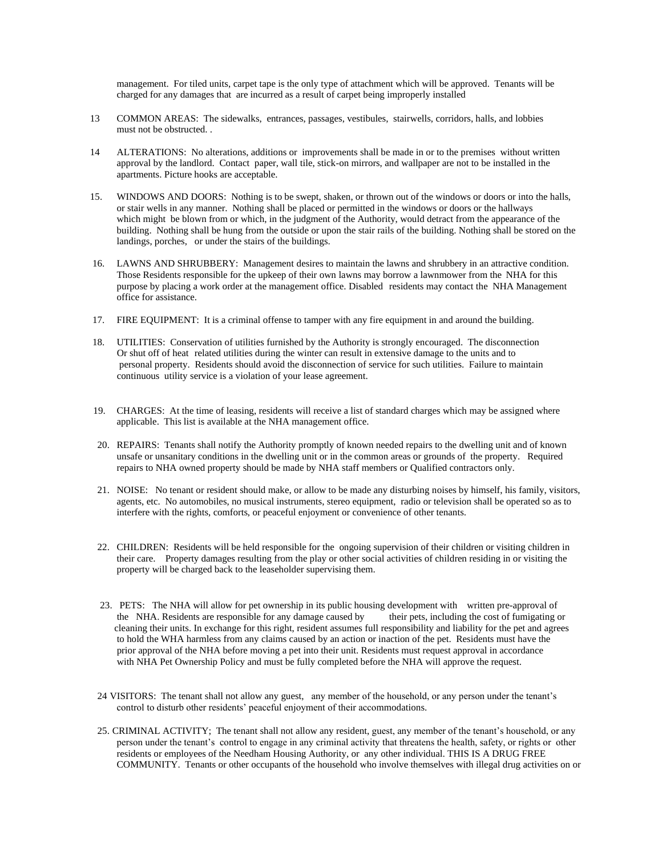management. For tiled units, carpet tape is the only type of attachment which will be approved. Tenants will be charged for any damages that are incurred as a result of carpet being improperly installed

- 13 COMMON AREAS: The sidewalks, entrances, passages, vestibules, stairwells, corridors, halls, and lobbies must not be obstructed. .
- 14 ALTERATIONS: No alterations, additions or improvements shall be made in or to the premises without written approval by the landlord. Contact paper, wall tile, stick-on mirrors, and wallpaper are not to be installed in the apartments. Picture hooks are acceptable.
- 15. WINDOWS AND DOORS: Nothing is to be swept, shaken, or thrown out of the windows or doors or into the halls, or stair wells in any manner. Nothing shall be placed or permitted in the windows or doors or the hallways which might be blown from or which, in the judgment of the Authority, would detract from the appearance of the building. Nothing shall be hung from the outside or upon the stair rails of the building. Nothing shall be stored on the landings, porches, or under the stairs of the buildings.
- 16. LAWNS AND SHRUBBERY: Management desires to maintain the lawns and shrubbery in an attractive condition. Those Residents responsible for the upkeep of their own lawns may borrow a lawnmower from the NHA for this purpose by placing a work order at the management office. Disabled residents may contact the NHA Management office for assistance.
- 17. FIRE EQUIPMENT: It is a criminal offense to tamper with any fire equipment in and around the building.
- 18. UTILITIES: Conservation of utilities furnished by the Authority is strongly encouraged. The disconnection Or shut off of heat related utilities during the winter can result in extensive damage to the units and to personal property. Residents should avoid the disconnection of service for such utilities. Failure to maintain continuous utility service is a violation of your lease agreement.
- 19. CHARGES: At the time of leasing, residents will receive a list of standard charges which may be assigned where applicable. This list is available at the NHA management office.
- 20. REPAIRS: Tenants shall notify the Authority promptly of known needed repairs to the dwelling unit and of known unsafe or unsanitary conditions in the dwelling unit or in the common areas or grounds of the property. Required repairs to NHA owned property should be made by NHA staff members or Qualified contractors only.
- 21. NOISE: No tenant or resident should make, or allow to be made any disturbing noises by himself, his family, visitors, agents, etc. No automobiles, no musical instruments, stereo equipment, radio or television shall be operated so as to interfere with the rights, comforts, or peaceful enjoyment or convenience of other tenants.
- 22. CHILDREN: Residents will be held responsible for the ongoing supervision of their children or visiting children in their care. Property damages resulting from the play or other social activities of children residing in or visiting the property will be charged back to the leaseholder supervising them.
- 23. PETS: The NHA will allow for pet ownership in its public housing development with written pre-approval of the NHA. Residents are responsible for any damage caused by their pets, including the cost of fumigating or cleaning their units. In exchange for this right, resident assumes full responsibility and liability for the pet and agrees to hold the WHA harmless from any claims caused by an action or inaction of the pet. Residents must have the prior approval of the NHA before moving a pet into their unit. Residents must request approval in accordance with NHA Pet Ownership Policy and must be fully completed before the NHA will approve the request.
- 24 VISITORS: The tenant shall not allow any guest, any member of the household, or any person under the tenant's control to disturb other residents' peaceful enjoyment of their accommodations.
- 25. CRIMINAL ACTIVITY; The tenant shall not allow any resident, guest, any member of the tenant's household, or any person under the tenant's control to engage in any criminal activity that threatens the health, safety, or rights or other residents or employees of the Needham Housing Authority, or any other individual. THIS IS A DRUG FREE COMMUNITY. Tenants or other occupants of the household who involve themselves with illegal drug activities on or